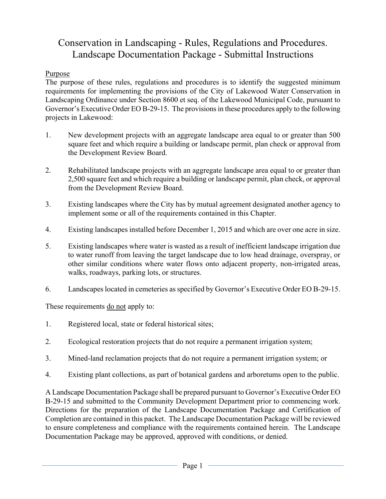# Conservation in Landscaping - Rules, Regulations and Procedures. Landscape Documentation Package - Submittal Instructions

### Purpose

The purpose of these rules, regulations and procedures is to identify the suggested minimum requirements for implementing the provisions of the City of Lakewood Water Conservation in Landscaping Ordinance under Section 8600 et seq. of the Lakewood Municipal Code, pursuant to Governor's Executive Order EO B-29-15. The provisions in these procedures apply to the following projects in Lakewood:

- 1. New development projects with an aggregate landscape area equal to or greater than 500 square feet and which require a building or landscape permit, plan check or approval from the Development Review Board.
- 2. Rehabilitated landscape projects with an aggregate landscape area equal to or greater than 2,500 square feet and which require a building or landscape permit, plan check, or approval from the Development Review Board.
- 3. Existing landscapes where the City has by mutual agreement designated another agency to implement some or all of the requirements contained in this Chapter.
- 4. Existing landscapes installed before December 1, 2015 and which are over one acre in size.
- 5. Existing landscapes where water is wasted as a result of inefficient landscape irrigation due to water runoff from leaving the target landscape due to low head drainage, overspray, or other similar conditions where water flows onto adjacent property, non-irrigated areas, walks, roadways, parking lots, or structures.
- 6. Landscapes located in cemeteries as specified by Governor's Executive Order EO B-29-15.

These requirements <u>do not</u> apply to:

- 1. Registered local, state or federal historical sites;
- 2. Ecological restoration projects that do not require a permanent irrigation system;
- 3. Mined-land reclamation projects that do not require a permanent irrigation system; or
- 4. Existing plant collections, as part of botanical gardens and arboretums open to the public.

A Landscape Documentation Package shall be prepared pursuant to Governor's Executive Order EO B-29-15 and submitted to the Community Development Department prior to commencing work. Directions for the preparation of the Landscape Documentation Package and Certification of Completion are contained in this packet. The Landscape Documentation Package will be reviewed to ensure completeness and compliance with the requirements contained herein. The Landscape Documentation Package may be approved, approved with conditions, or denied.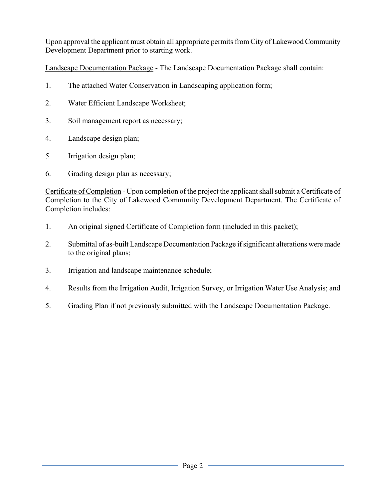Upon approval the applicant must obtain all appropriate permits from City of Lakewood Community Development Department prior to starting work.

Landscape Documentation Package - The Landscape Documentation Package shall contain:

- 1. The attached Water Conservation in Landscaping application form;
- 2. Water Efficient Landscape Worksheet;
- 3. Soil management report as necessary;
- 4. Landscape design plan;
- 5. Irrigation design plan;
- 6. Grading design plan as necessary;

Certificate of Completion - Upon completion of the project the applicant shall submit a Certificate of Completion to the City of Lakewood Community Development Department. The Certificate of Completion includes:

- 1. An original signed Certificate of Completion form (included in this packet);
- 2. Submittal of as-built Landscape Documentation Package if significant alterations were made to the original plans;
- 3. Irrigation and landscape maintenance schedule;
- 4. Results from the Irrigation Audit, Irrigation Survey, or Irrigation Water Use Analysis; and
- 5. Grading Plan if not previously submitted with the Landscape Documentation Package.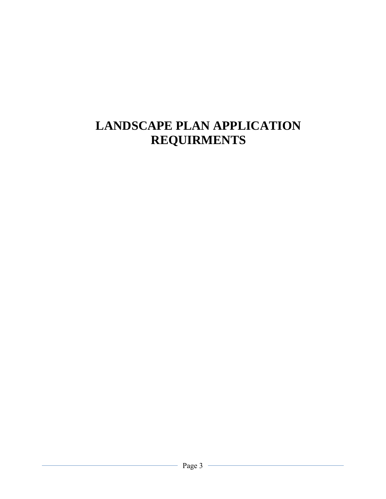# **LANDSCAPE PLAN APPLICATION REQUIRMENTS**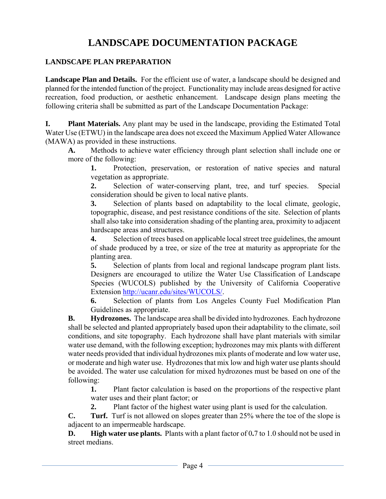# **LANDSCAPE DOCUMENTATION PACKAGE**

### **LANDSCAPE PLAN PREPARATION**

Landscape Plan and Details. For the efficient use of water, a landscape should be designed and planned for the intended function of the project. Functionality may include areas designed for active recreation, food production, or aesthetic enhancement. Landscape design plans meeting the following criteria shall be submitted as part of the Landscape Documentation Package:

**I. Plant Materials.** Any plant may be used in the landscape, providing the Estimated Total Water Use (ETWU) in the landscape area does not exceed the Maximum Applied Water Allowance (MAWA) as provided in these instructions.

**A.** Methods to achieve water efficiency through plant selection shall include one or more of the following:

**1.** Protection, preservation, or restoration of native species and natural vegetation as appropriate.

**2.** Selection of water-conserving plant, tree, and turf species. Special consideration should be given to local native plants.

**3.** Selection of plants based on adaptability to the local climate, geologic, topographic, disease, and pest resistance conditions of the site. Selection of plants shall also take into consideration shading of the planting area, proximity to adjacent hardscape areas and structures.

**4.** Selection of trees based on applicable local street tree guidelines, the amount of shade produced by a tree, or size of the tree at maturity as appropriate for the planting area.

**5.** Selection of plants from local and regional landscape program plant lists. Designers are encouraged to utilize the Water Use Classification of Landscape Species (WUCOLS) published by the University of California Cooperative Extension http://ucanr.edu/sites/WUCOLS/.

**6.** Selection of plants from Los Angeles County Fuel Modification Plan Guidelines as appropriate.

**B. Hydrozones.** The landscape area shall be divided into hydrozones. Each hydrozone shall be selected and planted appropriately based upon their adaptability to the climate, soil conditions, and site topography. Each hydrozone shall have plant materials with similar water use demand, with the following exception; hydrozones may mix plants with different water needs provided that individual hydrozones mix plants of moderate and low water use, or moderate and high water use. Hydrozones that mix low and high water use plants should be avoided. The water use calculation for mixed hydrozones must be based on one of the following:

**1.** Plant factor calculation is based on the proportions of the respective plant water uses and their plant factor; or

**2.** Plant factor of the highest water using plant is used for the calculation.

**C. Turf.** Turf is not allowed on slopes greater than 25% where the toe of the slope is adjacent to an impermeable hardscape.

**D. High water use plants.** Plants with a plant factor of 0**.**7 to 1.0 should not be used in street medians.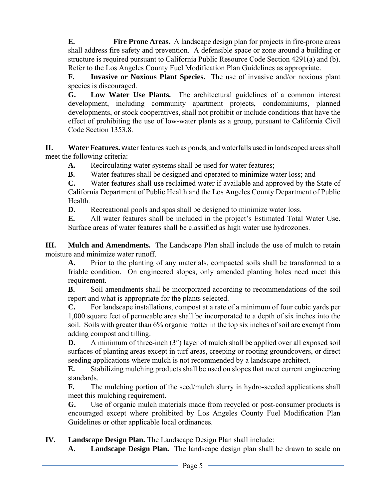**E. Fire Prone Areas.** A landscape design plan for projects in fire-prone areas shall address fire safety and prevention. A defensible space or zone around a building or structure is required pursuant to California Public Resource Code Section 4291(a) and (b). Refer to the Los Angeles County Fuel Modification Plan Guidelines as appropriate.

**F. Invasive or Noxious Plant Species.** The use of invasive and/or noxious plant species is discouraged.

**G. Low Water Use Plants.** The architectural guidelines of a common interest development, including community apartment projects, condominiums, planned developments, or stock cooperatives, shall not prohibit or include conditions that have the effect of prohibiting the use of low-water plants as a group, pursuant to California Civil Code Section 1353.8.

**II. Water Features.** Water features such as ponds, and waterfalls used in landscaped areas shall meet the following criteria:

**A.** Recirculating water systems shall be used for water features;

**B.** Water features shall be designed and operated to minimize water loss; and

**C.** Water features shall use reclaimed water if available and approved by the State of California Department of Public Health and the Los Angeles County Department of Public Health.

**D.** Recreational pools and spas shall be designed to minimize water loss.

**E.** All water features shall be included in the project's Estimated Total Water Use. Surface areas of water features shall be classified as high water use hydrozones.

**III. Mulch and Amendments.** The Landscape Plan shall include the use of mulch to retain moisture and minimize water runoff.

**A.** Prior to the planting of any materials, compacted soils shall be transformed to a friable condition. On engineered slopes, only amended planting holes need meet this requirement.

**B.** Soil amendments shall be incorporated according to recommendations of the soil report and what is appropriate for the plants selected.

**C.** For landscape installations, compost at a rate of a minimum of four cubic yards per 1,000 square feet of permeable area shall be incorporated to a depth of six inches into the soil. Soils with greater than 6% organic matter in the top six inches of soil are exempt from adding compost and tilling.

**D.** A minimum of three-inch (3") layer of mulch shall be applied over all exposed soil surfaces of planting areas except in turf areas, creeping or rooting groundcovers, or direct seeding applications where mulch is not recommended by a landscape architect.

**E.** Stabilizing mulching products shall be used on slopes that meet current engineering standards.

**F.** The mulching portion of the seed/mulch slurry in hydro-seeded applications shall meet this mulching requirement.

**G.** Use of organic mulch materials made from recycled or post-consumer products is encouraged except where prohibited by Los Angeles County Fuel Modification Plan Guidelines or other applicable local ordinances.

**IV. Landscape Design Plan.** The Landscape Design Plan shall include:

**A. Landscape Design Plan.** The landscape design plan shall be drawn to scale on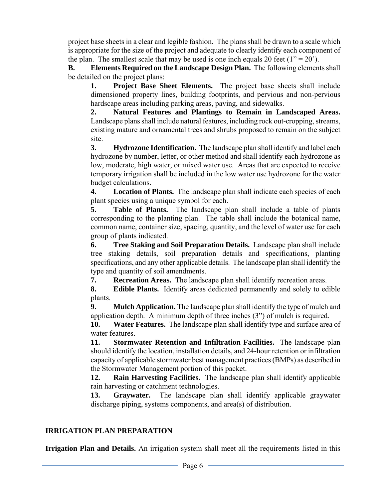project base sheets in a clear and legible fashion. The plans shall be drawn to a scale which is appropriate for the size of the project and adequate to clearly identify each component of the plan. The smallest scale that may be used is one inch equals 20 feet  $(1" = 20')$ .

**B. Elements Required on the Landscape Design Plan.** The following elements shall be detailed on the project plans:

**1. Project Base Sheet Elements.** The project base sheets shall include dimensioned property lines, building footprints, and pervious and non-pervious hardscape areas including parking areas, paving, and sidewalks.

**2. Natural Features and Plantings to Remain in Landscaped Areas.**  Landscape plans shall include natural features, including rock out-cropping, streams, existing mature and ornamental trees and shrubs proposed to remain on the subject site.

**3. Hydrozone Identification.** The landscape plan shall identify and label each hydrozone by number, letter, or other method and shall identify each hydrozone as low, moderate, high water, or mixed water use. Areas that are expected to receive temporary irrigation shall be included in the low water use hydrozone for the water budget calculations.

**4. Location of Plants.** The landscape plan shall indicate each species of each plant species using a unique symbol for each.

**5. Table of Plants.** The landscape plan shall include a table of plants corresponding to the planting plan. The table shall include the botanical name, common name, container size, spacing, quantity, and the level of water use for each group of plants indicated.

**6. Tree Staking and Soil Preparation Details.** Landscape plan shall include tree staking details, soil preparation details and specifications, planting specifications, and any other applicable details. The landscape plan shall identify the type and quantity of soil amendments.

**7. Recreation Areas.** The landscape plan shall identify recreation areas.

**8. Edible Plants.** Identify areas dedicated permanently and solely to edible plants.

**9. Mulch Application.** The landscape plan shall identify the type of mulch and application depth. A minimum depth of three inches (3") of mulch is required.

**10. Water Features.** The landscape plan shall identify type and surface area of water features.

**11. Stormwater Retention and Infiltration Facilities.** The landscape plan should identify the location, installation details, and 24-hour retention or infiltration capacity of applicable stormwater best management practices (BMPs) as described in the Stormwater Management portion of this packet.

**12. Rain Harvesting Facilities.** The landscape plan shall identify applicable rain harvesting or catchment technologies.

**13. Graywater.** The landscape plan shall identify applicable graywater discharge piping, systems components, and area(s) of distribution.

### **IRRIGATION PLAN PREPARATION**

**Irrigation Plan and Details.** An irrigation system shall meet all the requirements listed in this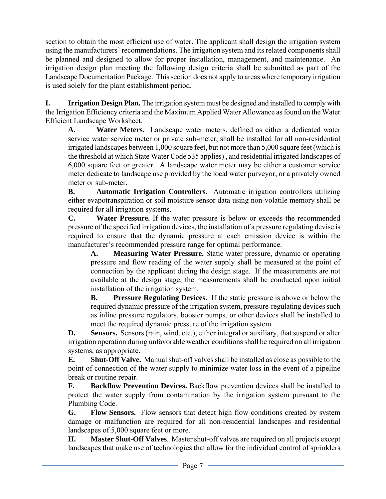section to obtain the most efficient use of water. The applicant shall design the irrigation system using the manufacturers' recommendations. The irrigation system and its related components shall be planned and designed to allow for proper installation, management, and maintenance. An irrigation design plan meeting the following design criteria shall be submitted as part of the Landscape Documentation Package. This section does not apply to areas where temporary irrigation is used solely for the plant establishment period.

**I. Irrigation Design Plan.** The irrigation system must be designed and installed to comply with the Irrigation Efficiency criteria and the Maximum Applied Water Allowance as found on the Water Efficient Landscape Worksheet.

**A. Water Meters.** Landscape water meters, defined as either a dedicated water service water service meter or private sub-meter, shall be installed for all non-residential irrigated landscapes between 1,000 square feet, but not more than 5,000 square feet (which is the threshold at which State Water Code 535 applies) , and residential irrigated landscapes of 6,000 square feet or greater. A landscape water meter may be either a customer service meter dedicate to landscape use provided by the local water purveyor; or a privately owned meter or sub-meter.

**B. Automatic Irrigation Controllers.** Automatic irrigation controllers utilizing either evapotranspiration or soil moisture sensor data using non-volatile memory shall be required for all irrigation systems.

**C. Water Pressure.** If the water pressure is below or exceeds the recommended pressure of the specified irrigation devices, the installation of a pressure regulating devise is required to ensure that the dynamic pressure at each emission device is within the manufacturer's recommended pressure range for optimal performance.

**A. Measuring Water Pressure.** Static water pressure, dynamic or operating pressure and flow reading of the water supply shall be measured at the point of connection by the applicant during the design stage. If the measurements are not available at the design stage, the measurements shall be conducted upon initial installation of the irrigation system.

**B. Pressure Regulating Devices.** If the static pressure is above or below the required dynamic pressure of the irrigation system, pressure-regulating devices such as inline pressure regulators, booster pumps, or other devices shall be installed to meet the required dynamic pressure of the irrigation system.

**D. Sensors.** Sensors (rain, wind, etc.), either integral or auxiliary, that suspend or alter irrigation operation during unfavorable weather conditions shall be required on all irrigation systems, as appropriate.

**E. Shut-Off Valve.** Manual shut-off valves shall be installed as close as possible to the point of connection of the water supply to minimize water loss in the event of a pipeline break or routine repair.

**F. Backflow Prevention Devices.** Backflow prevention devices shall be installed to protect the water supply from contamination by the irrigation system pursuant to the Plumbing Code.

**G. Flow Sensors.** Flow sensors that detect high flow conditions created by system damage or malfunction are required for all non-residential landscapes and residential landscapes of 5,000 square feet or more.

**H. Master Shut-Off Valves**. Master shut-off valves are required on all projects except landscapes that make use of technologies that allow for the individual control of sprinklers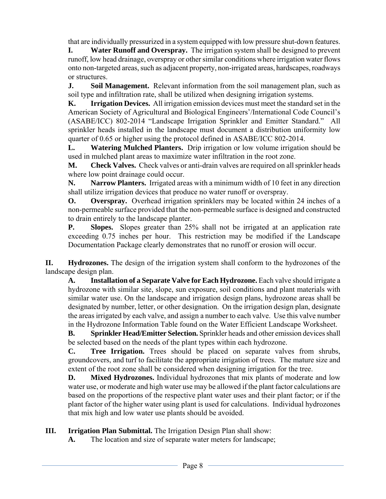that are individually pressurized in a system equipped with low pressure shut-down features.

**I. Water Runoff and Overspray.** The irrigation system shall be designed to prevent runoff, low head drainage, overspray or other similar conditions where irrigation water flows onto non-targeted areas, such as adjacent property, non-irrigated areas, hardscapes, roadways or structures.

**J. Soil Management.** Relevant information from the soil management plan, such as soil type and infiltration rate, shall be utilized when designing irrigation systems.

**K. Irrigation Devices.** All irrigation emission devices must meet the standard set in the American Society of Agricultural and Biological Engineers'/International Code Council's (ASABE/ICC) 802-2014 "Landscape Irrigation Sprinkler and Emitter Standard." All sprinkler heads installed in the landscape must document a distribution uniformity low quarter of 0.65 or higher using the protocol defined in ASABE/ICC 802-2014.

**L. Watering Mulched Planters.** Drip irrigation or low volume irrigation should be used in mulched plant areas to maximize water infiltration in the root zone.

**M. Check Valves.** Check valves or anti-drain valves are required on all sprinkler heads where low point drainage could occur.

**N. Narrow Planters.** Irrigated areas with a minimum width of 10 feet in any direction shall utilize irrigation devices that produce no water runoff or overspray.

**O. Overspray.** Overhead irrigation sprinklers may be located within 24 inches of a non-permeable surface provided that the non-permeable surface is designed and constructed to drain entirely to the landscape planter.

**P. Slopes.** Slopes greater than 25% shall not be irrigated at an application rate exceeding 0.75 inches per hour. This restriction may be modified if the Landscape Documentation Package clearly demonstrates that no runoff or erosion will occur.

**II. Hydrozones.** The design of the irrigation system shall conform to the hydrozones of the landscape design plan.

A. **Installation of a Separate Valve for Each Hydrozone.** Each valve should irrigate a hydrozone with similar site, slope, sun exposure, soil conditions and plant materials with similar water use. On the landscape and irrigation design plans, hydrozone areas shall be designated by number, letter, or other designation. On the irrigation design plan, designate the areas irrigated by each valve, and assign a number to each valve. Use this valve number in the Hydrozone Information Table found on the Water Efficient Landscape Worksheet.

**B. Sprinkler Head/Emitter Selection.** Sprinkler heads and other emission devices shall be selected based on the needs of the plant types within each hydrozone.

**C. Tree Irrigation.** Trees should be placed on separate valves from shrubs, groundcovers, and turf to facilitate the appropriate irrigation of trees. The mature size and extent of the root zone shall be considered when designing irrigation for the tree.

**D. Mixed Hydrozones.** Individual hydrozones that mix plants of moderate and low water use, or moderate and high water use may be allowed if the plant factor calculations are based on the proportions of the respective plant water uses and their plant factor; or if the plant factor of the higher water using plant is used for calculations. Individual hydrozones that mix high and low water use plants should be avoided.

### **III.** Irrigation Plan Submittal. The Irrigation Design Plan shall show:

**A.** The location and size of separate water meters for landscape;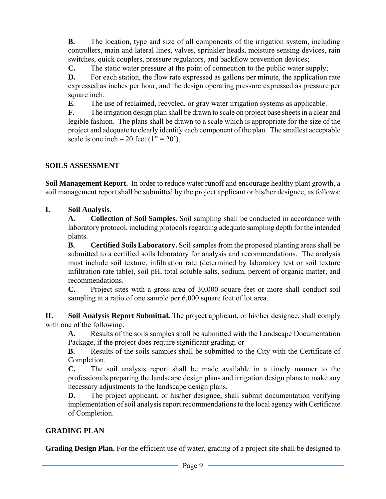**B.** The location, type and size of all components of the irrigation system, including controllers, main and lateral lines, valves, sprinkler heads, moisture sensing devices, rain switches, quick couplers, pressure regulators, and backflow prevention devices;

**C.** The static water pressure at the point of connection to the public water supply;

**D.** For each station, the flow rate expressed as gallons per minute, the application rate expressed as inches per hour, and the design operating pressure expressed as pressure per square inch.

**E**. The use of reclaimed, recycled, or gray water irrigation systems as applicable.

**F.** The irrigation design plan shall be drawn to scale on project base sheets in a clear and legible fashion. The plans shall be drawn to a scale which is appropriate for the size of the project and adequate to clearly identify each component of the plan. The smallest acceptable scale is one inch – 20 feet  $(1" = 20')$ .

### **SOILS ASSESSMENT**

**Soil Management Report.** In order to reduce water runoff and encourage healthy plant growth, a soil management report shall be submitted by the project applicant or his/her designee, as follows:

### **I. Soil Analysis.**

**A. Collection of Soil Samples.** Soil sampling shall be conducted in accordance with laboratory protocol, including protocols regarding adequate sampling depth for the intended plants.

**B. Certified Soils Laboratory.** Soil samples from the proposed planting areas shall be submitted to a certified soils laboratory for analysis and recommendations. The analysis must include soil texture, infiltration rate (determined by laboratory test or soil texture infiltration rate table), soil pH, total soluble salts, sodium, percent of organic matter, and recommendations.

**C.** Project sites with a gross area of 30,000 square feet or more shall conduct soil sampling at a ratio of one sample per 6,000 square feet of lot area.

**II. Soil Analysis Report Submittal.** The project applicant, or his/her designee, shall comply with one of the following:

**A.** Results of the soils samples shall be submitted with the Landscape Documentation Package, if the project does require significant grading; or

**B.** Results of the soils samples shall be submitted to the City with the Certificate of Completion.

**C.** The soil analysis report shall be made available in a timely manner to the professionals preparing the landscape design plans and irrigation design plans to make any necessary adjustments to the landscape design plans.

**D.** The project applicant, or his/her designee, shall submit documentation verifying implementation of soil analysis report recommendations to the local agency with Certificate of Completion.

### **GRADING PLAN**

**Grading Design Plan.** For the efficient use of water, grading of a project site shall be designed to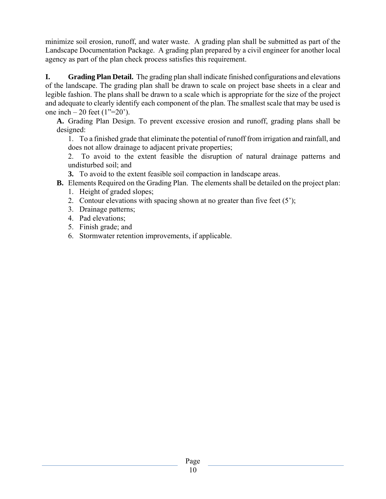minimize soil erosion, runoff, and water waste. A grading plan shall be submitted as part of the Landscape Documentation Package. A grading plan prepared by a civil engineer for another local agency as part of the plan check process satisfies this requirement.

**I. Grading Plan Detail.** The grading plan shall indicate finished configurations and elevations of the landscape. The grading plan shall be drawn to scale on project base sheets in a clear and legible fashion. The plans shall be drawn to a scale which is appropriate for the size of the project and adequate to clearly identify each component of the plan. The smallest scale that may be used is one inch – 20 feet  $(1^{\prime\prime}=20^{\prime})$ .

**A.** Grading Plan Design. To prevent excessive erosion and runoff, grading plans shall be designed:

1. To a finished grade that eliminate the potential of runoff from irrigation and rainfall, and does not allow drainage to adjacent private properties;

2. To avoid to the extent feasible the disruption of natural drainage patterns and undisturbed soil; and

**3.** To avoid to the extent feasible soil compaction in landscape areas.

- **B.** Elements Required on the Grading Plan. The elements shall be detailed on the project plan:
	- 1. Height of graded slopes;
	- 2. Contour elevations with spacing shown at no greater than five feet (5');
	- 3. Drainage patterns;
	- 4. Pad elevations;
	- 5. Finish grade; and
	- 6. Stormwater retention improvements, if applicable.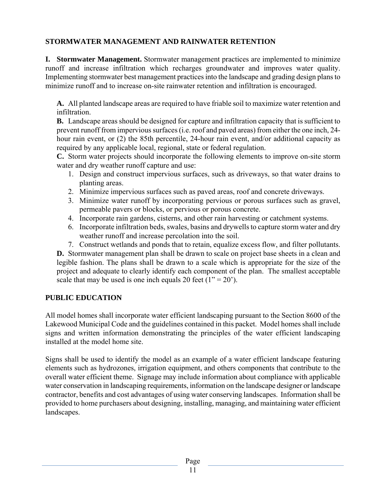### **STORMWATER MANAGEMENT AND RAINWATER RETENTION**

**I. Stormwater Management.** Stormwater management practices are implemented to minimize runoff and increase infiltration which recharges groundwater and improves water quality. Implementing stormwater best management practices into the landscape and grading design plans to minimize runoff and to increase on-site rainwater retention and infiltration is encouraged.

**A.** All planted landscape areas are required to have friable soil to maximize water retention and infiltration.

**B.** Landscape areas should be designed for capture and infiltration capacity that is sufficient to prevent runoff from impervious surfaces (i.e. roof and paved areas) from either the one inch, 24 hour rain event, or (2) the 85th percentile, 24-hour rain event, and/or additional capacity as required by any applicable local, regional, state or federal regulation.

**C.** Storm water projects should incorporate the following elements to improve on-site storm water and dry weather runoff capture and use:

- 1. Design and construct impervious surfaces, such as driveways, so that water drains to planting areas.
- 2. Minimize impervious surfaces such as paved areas, roof and concrete driveways.
- 3. Minimize water runoff by incorporating pervious or porous surfaces such as gravel, permeable pavers or blocks, or pervious or porous concrete.
- 4. Incorporate rain gardens, cisterns, and other rain harvesting or catchment systems.
- 6. Incorporate infiltration beds, swales, basins and drywells to capture storm water and dry weather runoff and increase percolation into the soil.
- 7. Construct wetlands and ponds that to retain, equalize excess flow, and filter pollutants.

**D.** Stormwater management plan shall be drawn to scale on project base sheets in a clean and legible fashion. The plans shall be drawn to a scale which is appropriate for the size of the project and adequate to clearly identify each component of the plan. The smallest acceptable scale that may be used is one inch equals 20 feet  $(1" = 20')$ .

### **PUBLIC EDUCATION**

All model homes shall incorporate water efficient landscaping pursuant to the Section 8600 of the Lakewood Municipal Code and the guidelines contained in this packet. Model homes shall include signs and written information demonstrating the principles of the water efficient landscaping installed at the model home site.

Signs shall be used to identify the model as an example of a water efficient landscape featuring elements such as hydrozones, irrigation equipment, and others components that contribute to the overall water efficient theme. Signage may include information about compliance with applicable water conservation in landscaping requirements, information on the landscape designer or landscape contractor, benefits and cost advantages of using water conserving landscapes. Information shall be provided to home purchasers about designing, installing, managing, and maintaining water efficient landscapes.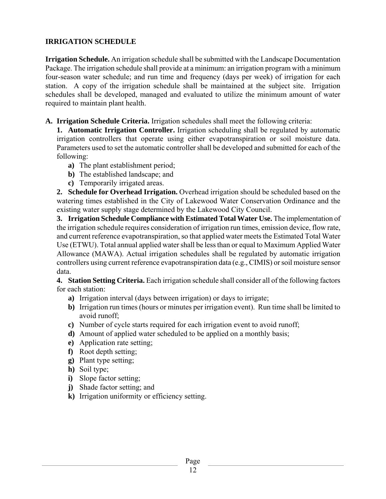### **IRRIGATION SCHEDULE**

**Irrigation Schedule.** An irrigation schedule shall be submitted with the Landscape Documentation Package. The irrigation schedule shall provide at a minimum: an irrigation program with a minimum four-season water schedule; and run time and frequency (days per week) of irrigation for each station. A copy of the irrigation schedule shall be maintained at the subject site. Irrigation schedules shall be developed, managed and evaluated to utilize the minimum amount of water required to maintain plant health.

**A. Irrigation Schedule Criteria.** Irrigation schedules shall meet the following criteria:

**1. Automatic Irrigation Controller.** Irrigation scheduling shall be regulated by automatic irrigation controllers that operate using either evapotranspiration or soil moisture data. Parameters used to set the automatic controller shall be developed and submitted for each of the following:

- **a)** The plant establishment period;
- **b)** The established landscape; and
- **c)** Temporarily irrigated areas.

**2. Schedule for Overhead Irrigation.** Overhead irrigation should be scheduled based on the watering times established in the City of Lakewood Water Conservation Ordinance and the existing water supply stage determined by the Lakewood City Council.

**3. Irrigation Schedule Compliance with Estimated Total Water Use.** The implementation of the irrigation schedule requires consideration of irrigation run times, emission device, flow rate, and current reference evapotranspiration, so that applied water meets the Estimated Total Water Use (ETWU). Total annual applied water shall be less than or equal to Maximum Applied Water Allowance (MAWA). Actual irrigation schedules shall be regulated by automatic irrigation controllers using current reference evapotranspiration data (e.g., CIMIS) or soil moisture sensor data.

**4. Station Setting Criteria.** Each irrigation schedule shall consider all of the following factors for each station:

- **a)** Irrigation interval (days between irrigation) or days to irrigate;
- **b)** Irrigation run times (hours or minutes per irrigation event). Run time shall be limited to avoid runoff;
- **c)** Number of cycle starts required for each irrigation event to avoid runoff;
- **d)** Amount of applied water scheduled to be applied on a monthly basis;
- **e)** Application rate setting;
- **f)** Root depth setting;
- **g)** Plant type setting;
- **h)** Soil type;
- **i)** Slope factor setting;
- **j)** Shade factor setting; and
- **k)** Irrigation uniformity or efficiency setting.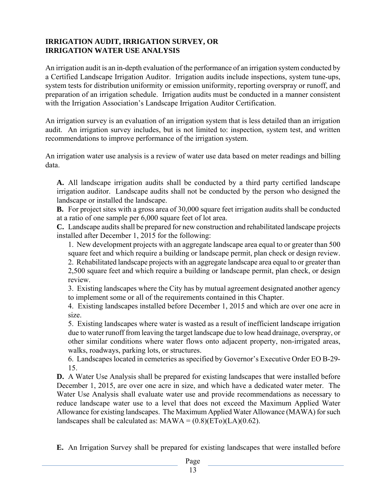### **IRRIGATION AUDIT, IRRIGATION SURVEY, OR IRRIGATION WATER USE ANALYSIS**

An irrigation audit is an in-depth evaluation of the performance of an irrigation system conducted by a Certified Landscape Irrigation Auditor. Irrigation audits include inspections, system tune-ups, system tests for distribution uniformity or emission uniformity, reporting overspray or runoff, and preparation of an irrigation schedule. Irrigation audits must be conducted in a manner consistent with the Irrigation Association's Landscape Irrigation Auditor Certification.

An irrigation survey is an evaluation of an irrigation system that is less detailed than an irrigation audit. An irrigation survey includes, but is not limited to: inspection, system test, and written recommendations to improve performance of the irrigation system.

An irrigation water use analysis is a review of water use data based on meter readings and billing data.

**A.** All landscape irrigation audits shall be conducted by a third party certified landscape irrigation auditor. Landscape audits shall not be conducted by the person who designed the landscape or installed the landscape.

**B.** For project sites with a gross area of 30,000 square feet irrigation audits shall be conducted at a ratio of one sample per 6,000 square feet of lot area.

**C.** Landscape audits shall be prepared for new construction and rehabilitated landscape projects installed after December 1, 2015 for the following:

 1. New development projects with an aggregate landscape area equal to or greater than 500 square feet and which require a building or landscape permit, plan check or design review.

 2. Rehabilitated landscape projects with an aggregate landscape area equal to or greater than 2,500 square feet and which require a building or landscape permit, plan check, or design review.

 3. Existing landscapes where the City has by mutual agreement designated another agency to implement some or all of the requirements contained in this Chapter.

 4. Existing landscapes installed before December 1, 2015 and which are over one acre in size.

 5. Existing landscapes where water is wasted as a result of inefficient landscape irrigation due to water runoff from leaving the target landscape due to low head drainage, overspray, or other similar conditions where water flows onto adjacent property, non-irrigated areas, walks, roadways, parking lots, or structures.

 6. Landscapes located in cemeteries as specified by Governor's Executive Order EO B-29- 15.

**D.** A Water Use Analysis shall be prepared for existing landscapes that were installed before December 1, 2015, are over one acre in size, and which have a dedicated water meter. The Water Use Analysis shall evaluate water use and provide recommendations as necessary to reduce landscape water use to a level that does not exceed the Maximum Applied Water Allowance for existing landscapes. The Maximum Applied Water Allowance (MAWA) for such landscapes shall be calculated as:  $MAWA = (0.8)(ETo)(LA)(0.62)$ .

**E.** An Irrigation Survey shall be prepared for existing landscapes that were installed before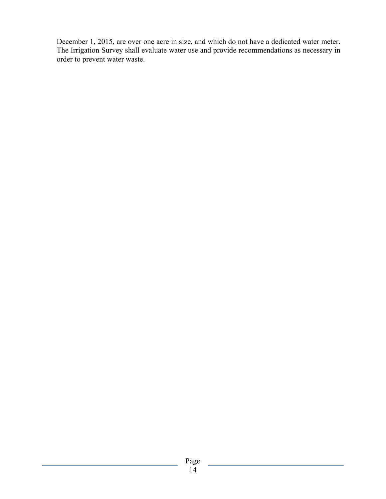December 1, 2015, are over one acre in size, and which do not have a dedicated water meter. The Irrigation Survey shall evaluate water use and provide recommendations as necessary in order to prevent water waste.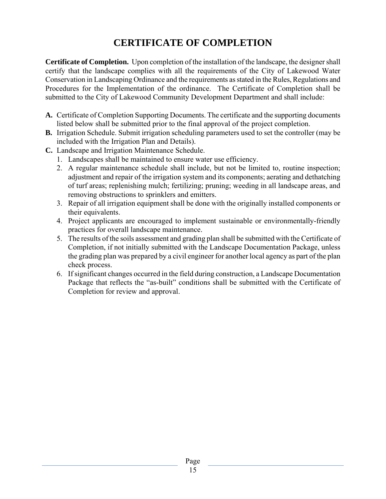# **CERTIFICATE OF COMPLETION**

**Certificate of Completion.** Upon completion of the installation of the landscape, the designer shall certify that the landscape complies with all the requirements of the City of Lakewood Water Conservation in Landscaping Ordinance and the requirements as stated in the Rules, Regulations and Procedures for the Implementation of the ordinance. The Certificate of Completion shall be submitted to the City of Lakewood Community Development Department and shall include:

- **A.** Certificate of Completion Supporting Documents. The certificate and the supporting documents listed below shall be submitted prior to the final approval of the project completion.
- **B.** Irrigation Schedule. Submit irrigation scheduling parameters used to set the controller (may be included with the Irrigation Plan and Details).
- **C.** Landscape and Irrigation Maintenance Schedule.
	- 1. Landscapes shall be maintained to ensure water use efficiency.
	- 2. A regular maintenance schedule shall include, but not be limited to, routine inspection; adjustment and repair of the irrigation system and its components; aerating and dethatching of turf areas; replenishing mulch; fertilizing; pruning; weeding in all landscape areas, and removing obstructions to sprinklers and emitters.
	- 3. Repair of all irrigation equipment shall be done with the originally installed components or their equivalents.
	- 4. Project applicants are encouraged to implement sustainable or environmentally-friendly practices for overall landscape maintenance.
	- 5. The results of the soils assessment and grading plan shall be submitted with the Certificate of Completion, if not initially submitted with the Landscape Documentation Package, unless the grading plan was prepared by a civil engineer for another local agency as part of the plan check process.
	- 6. If significant changes occurred in the field during construction, a Landscape Documentation Package that reflects the "as-built" conditions shall be submitted with the Certificate of Completion for review and approval.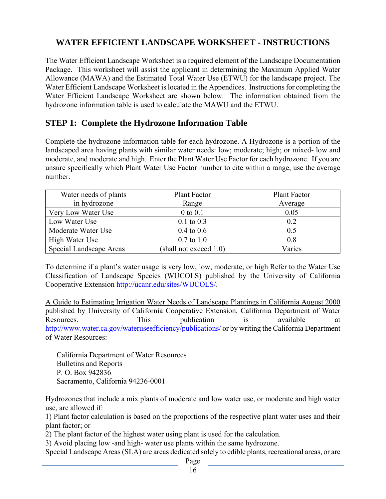### **WATER EFFICIENT LANDSCAPE WORKSHEET - INSTRUCTIONS**

The Water Efficient Landscape Worksheet is a required element of the Landscape Documentation Package. This worksheet will assist the applicant in determining the Maximum Applied Water Allowance (MAWA) and the Estimated Total Water Use (ETWU) for the landscape project. The Water Efficient Landscape Worksheet is located in the Appendices. Instructions for completing the Water Efficient Landscape Worksheet are shown below. The information obtained from the hydrozone information table is used to calculate the MAWU and the ETWU.

### **STEP 1: Complete the Hydrozone Information Table**

Complete the hydrozone information table for each hydrozone. A Hydrozone is a portion of the landscaped area having plants with similar water needs: low; moderate; high; or mixed- low and moderate, and moderate and high. Enter the Plant Water Use Factor for each hydrozone. If you are unsure specifically which Plant Water Use Factor number to cite within a range, use the average number.

| Water needs of plants   | Plant Factor              | Plant Factor |
|-------------------------|---------------------------|--------------|
| in hydrozone            | Range                     | Average      |
| Very Low Water Use      | $0$ to $0.1$              | 0.05         |
| Low Water Use           | $0.1$ to $0.3$            | 0.2          |
| Moderate Water Use      | $0.4 \text{ to } 0.6$     | 0.5          |
| High Water Use          | $0.7 \text{ to } 1.0$     | 0.8          |
| Special Landscape Areas | (shall not exceed $1.0$ ) | Varies       |

To determine if a plant's water usage is very low, low, moderate, or high Refer to the Water Use Classification of Landscape Species (WUCOLS) published by the University of California Cooperative Extension http://ucanr.edu/sites/WUCOLS/.

A Guide to Estimating Irrigation Water Needs of Landscape Plantings in California August 2000 published by University of California Cooperative Extension, California Department of Water Resources. This publication is available at http://www.water.ca.gov/wateruseefficiency/publications/ or by writing the California Department of Water Resources:

California Department of Water Resources Bulletins and Reports P. O. Box 942836 Sacramento, California 94236-0001

Hydrozones that include a mix plants of moderate and low water use, or moderate and high water use, are allowed if:

1) Plant factor calculation is based on the proportions of the respective plant water uses and their plant factor; or

2) The plant factor of the highest water using plant is used for the calculation.

3) Avoid placing low -and high- water use plants within the same hydrozone.

Special Landscape Areas (SLA) are areas dedicated solely to edible plants, recreational areas, or are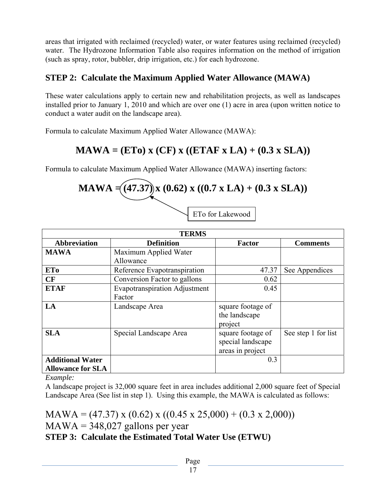areas that irrigated with reclaimed (recycled) water, or water features using reclaimed (recycled) water. The Hydrozone Information Table also requires information on the method of irrigation (such as spray, rotor, bubbler, drip irrigation, etc.) for each hydrozone.

## **STEP 2: Calculate the Maximum Applied Water Allowance (MAWA)**

These water calculations apply to certain new and rehabilitation projects, as well as landscapes installed prior to January 1, 2010 and which are over one (1) acre in area (upon written notice to conduct a water audit on the landscape area).

Formula to calculate Maximum Applied Water Allowance (MAWA):

# $MAWA = (ETo)$  x  $(CF)$  x  $((ETAF X LA) + (0.3 X SLA))$

Formula to calculate Maximum Applied Water Allowance (MAWA) inserting factors:

**MAWA** = 
$$
(47.37)
$$
 x  $(0.62)$  x  $((0.7 \times LA) + (0.3 \times SLA))$   
ETo for Lakewood

|                          | <b>TERMS</b>                         |                   |                     |  |  |  |  |  |  |  |  |
|--------------------------|--------------------------------------|-------------------|---------------------|--|--|--|--|--|--|--|--|
| <b>Abbreviation</b>      | <b>Definition</b>                    | Factor            | <b>Comments</b>     |  |  |  |  |  |  |  |  |
| <b>MAWA</b>              | Maximum Applied Water                |                   |                     |  |  |  |  |  |  |  |  |
|                          | Allowance                            |                   |                     |  |  |  |  |  |  |  |  |
| ETo                      | Reference Evapotranspiration         | 47.37             | See Appendices      |  |  |  |  |  |  |  |  |
| CF                       | Conversion Factor to gallons         | 0.62              |                     |  |  |  |  |  |  |  |  |
| <b>ETAF</b>              | <b>Evapotranspiration Adjustment</b> | 0.45              |                     |  |  |  |  |  |  |  |  |
|                          | Factor                               |                   |                     |  |  |  |  |  |  |  |  |
| LA                       | Landscape Area                       | square footage of |                     |  |  |  |  |  |  |  |  |
|                          |                                      | the landscape     |                     |  |  |  |  |  |  |  |  |
|                          |                                      | project           |                     |  |  |  |  |  |  |  |  |
| <b>SLA</b>               | Special Landscape Area               | square footage of | See step 1 for list |  |  |  |  |  |  |  |  |
|                          |                                      | special landscape |                     |  |  |  |  |  |  |  |  |
|                          |                                      | areas in project  |                     |  |  |  |  |  |  |  |  |
| <b>Additional Water</b>  |                                      | 0.3               |                     |  |  |  |  |  |  |  |  |
| <b>Allowance for SLA</b> |                                      |                   |                     |  |  |  |  |  |  |  |  |

*Example:* 

A landscape project is 32,000 square feet in area includes additional 2,000 square feet of Special Landscape Area (See list in step 1). Using this example, the MAWA is calculated as follows:

 $MAWA = (47.37) \times (0.62) \times ((0.45 \times 25,000) + (0.3 \times 2,000))$  $MAWA = 348,027$  gallons per year **STEP 3: Calculate the Estimated Total Water Use (ETWU)**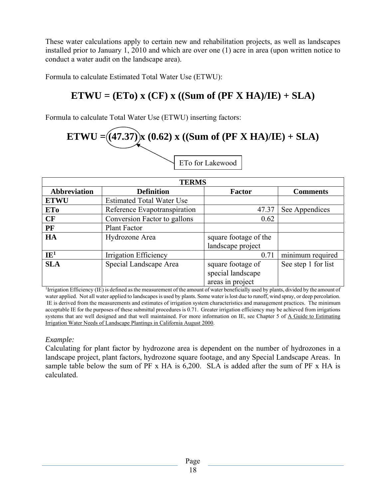These water calculations apply to certain new and rehabilitation projects, as well as landscapes installed prior to January 1, 2010 and which are over one (1) acre in area (upon written notice to conduct a water audit on the landscape area).

Formula to calculate Estimated Total Water Use (ETWU):

# $ETWU = (ETo) x (CF) x ((Sum of (PF X HA)/IE) + SLA)$

Formula to calculate Total Water Use (ETWU) inserting factors:

# **ETWU** =  $((47.37)$  **x**  $(0.62)$  **x**  $((Sum of (PF X HA)/IE) + SLA)$ ETo for Lakewood

| <b>TERMS</b>                         |                                  |                       |                     |  |  |  |  |  |  |  |
|--------------------------------------|----------------------------------|-----------------------|---------------------|--|--|--|--|--|--|--|
| <b>Abbreviation</b>                  | <b>Definition</b>                | <b>Factor</b>         | <b>Comments</b>     |  |  |  |  |  |  |  |
| <b>ETWU</b>                          | <b>Estimated Total Water Use</b> |                       |                     |  |  |  |  |  |  |  |
| <b>ETo</b>                           | Reference Evapotranspiration     | 47.37                 | See Appendices      |  |  |  |  |  |  |  |
| CF                                   | Conversion Factor to gallons     | 0.62                  |                     |  |  |  |  |  |  |  |
| PF                                   | <b>Plant Factor</b>              |                       |                     |  |  |  |  |  |  |  |
| <b>HA</b><br>Hydrozone Area          |                                  | square footage of the |                     |  |  |  |  |  |  |  |
|                                      |                                  | landscape project     |                     |  |  |  |  |  |  |  |
| $IE^1$                               | Irrigation Efficiency            | 0.71                  | minimum required    |  |  |  |  |  |  |  |
| Special Landscape Area<br><b>SLA</b> |                                  | square footage of     | See step 1 for list |  |  |  |  |  |  |  |
|                                      |                                  | special landscape     |                     |  |  |  |  |  |  |  |
|                                      |                                  | areas in project      |                     |  |  |  |  |  |  |  |

<sup>1</sup>Irrigation Efficiency (IE) is defined as the measurement of the amount of water beneficially used by plants, divided by the amount of water applied. Not all water applied to landscapes is used by plants. Some water is lost due to runoff, wind spray, or deep percolation. IE is derived from the measurements and estimates of irrigation system characteristics and management practices. The minimum acceptable IE for the purposes of these submittal procedures is 0.71. Greater irrigation efficiency may be achieved from irrigations systems that are well designed and that well maintained. For more information on IE, see Chapter 5 of A Guide to Estimating Irrigation Water Needs of Landscape Plantings in California August 2000.

### *Example:*

Calculating for plant factor by hydrozone area is dependent on the number of hydrozones in a landscape project, plant factors, hydrozone square footage, and any Special Landscape Areas. In sample table below the sum of PF x HA is 6,200. SLA is added after the sum of PF x HA is calculated.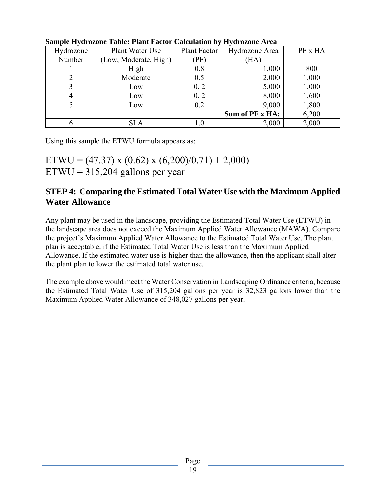| Hydrozone      | Plant Water Use       | <b>Plant Factor</b> | Hydrozone Area  | PF x HA |
|----------------|-----------------------|---------------------|-----------------|---------|
| Number         | (Low, Moderate, High) | $\mathrm{PF}$       | (HA)            |         |
|                | High                  | 0.8                 | 1,000           | 800     |
|                | Moderate              | 0.5                 | 2,000           | 1,000   |
|                | Low                   | 0.2                 | 5,000           | 1,000   |
| $\overline{4}$ | Low                   | 0.2                 | 8,000           | 1,600   |
|                | Low                   | 0.2                 | 9,000           | 1,800   |
|                |                       |                     | Sum of PF x HA: | 6,200   |
| 6              | <b>SLA</b>            | 1.0                 | 2,000           | 2,000   |

**Sample Hydrozone Table: Plant Factor Calculation by Hydrozone Area** 

Using this sample the ETWU formula appears as:

ETWU = (47.37) x (0.62) x (6,200)/0.71) + 2,000)  $ETWU = 315,204$  gallons per year

### **STEP 4: Comparing the Estimated Total Water Use with the Maximum Applied Water Allowance**

Any plant may be used in the landscape, providing the Estimated Total Water Use (ETWU) in the landscape area does not exceed the Maximum Applied Water Allowance (MAWA). Compare the project's Maximum Applied Water Allowance to the Estimated Total Water Use. The plant plan is acceptable, if the Estimated Total Water Use is less than the Maximum Applied Allowance. If the estimated water use is higher than the allowance, then the applicant shall alter the plant plan to lower the estimated total water use.

The example above would meet the Water Conservation in Landscaping Ordinance criteria, because the Estimated Total Water Use of 315,204 gallons per year is 32,823 gallons lower than the Maximum Applied Water Allowance of 348,027 gallons per year.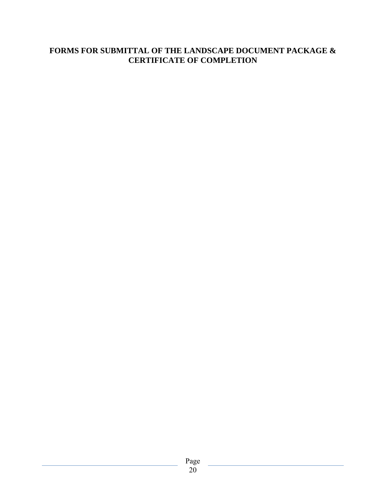### **FORMS FOR SUBMITTAL OF THE LANDSCAPE DOCUMENT PACKAGE & CERTIFICATE OF COMPLETION**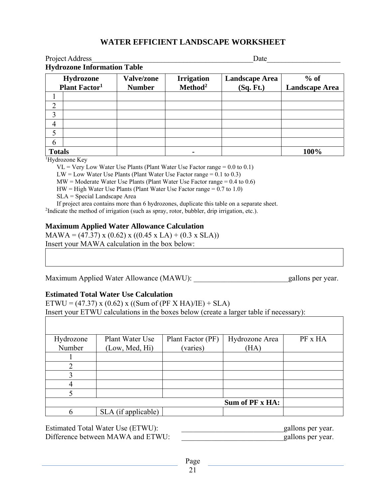### **WATER EFFICIENT LANDSCAPE WORKSHEET**

|                | Project Address                    |                   | Date                |                       |                       |  |  |  |  |
|----------------|------------------------------------|-------------------|---------------------|-----------------------|-----------------------|--|--|--|--|
|                | <b>Hydrozone Information Table</b> |                   |                     |                       |                       |  |  |  |  |
|                | Hydrozone                          | <b>Valve/zone</b> | <b>Irrigation</b>   | <b>Landscape Area</b> | $%$ of                |  |  |  |  |
|                | <b>Plant Factor</b> <sup>1</sup>   | <b>Number</b>     | Method <sup>2</sup> | (Sq. Ft.)             | <b>Landscape Area</b> |  |  |  |  |
|                |                                    |                   |                     |                       |                       |  |  |  |  |
| $\overline{2}$ |                                    |                   |                     |                       |                       |  |  |  |  |
| 3              |                                    |                   |                     |                       |                       |  |  |  |  |
| 4              |                                    |                   |                     |                       |                       |  |  |  |  |
| 5              |                                    |                   |                     |                       |                       |  |  |  |  |
| 6              |                                    |                   |                     |                       |                       |  |  |  |  |
| <b>Totals</b>  |                                    |                   |                     |                       | 100%                  |  |  |  |  |

1 Hydrozone Key

 $VL = V$ ery Low Water Use Plants (Plant Water Use Factor range = 0.0 to 0.1)

 $LW = Low Water Use Plant (Plant Water Use Factor range = 0.1 to 0.3)$ 

 $MW = Modern$  Moderate Water Use Plants (Plant Water Use Factor range = 0.4 to 0.6)

 $HW = High Water Use Plant Water Use Factor range = 0.7 to 1.0$ 

SLA = Special Landscape Area

If project area contains more than 6 hydrozones, duplicate this table on a separate sheet. <sup>2</sup>Indicate the method of irrigation (such as spray, rotor, bubbler, drip irrigation, etc.).

#### **Maximum Applied Water Allowance Calculation**

 $MAWA = (47.37) \times (0.62) \times ((0.45 \times LA) + (0.3 \times SLA))$ Insert your MAWA calculation in the box below:

Maximum Applied Water Allowance (MAWU): example allows per year.

#### **Estimated Total Water Use Calculation**

ETWU = (47.37) x (0.62) x ((Sum of (PF X HA)/IE) + SLA) Insert your ETWU calculations in the boxes below (create a larger table if necessary):

| Hydrozone   | Plant Water Use     | Plant Factor (PF) | Hydrozone Area  | PF x HA |
|-------------|---------------------|-------------------|-----------------|---------|
| Number      | (Low, Med, Hi)      | (varies)          | (HA)            |         |
|             |                     |                   |                 |         |
| 2           |                     |                   |                 |         |
| 3           |                     |                   |                 |         |
| 4           |                     |                   |                 |         |
| $\varsigma$ |                     |                   |                 |         |
|             |                     |                   | Sum of PF x HA: |         |
| 6           | SLA (if applicable) |                   |                 |         |

Estimated Total Water Use (ETWU): extending the gallons per year. Difference between MAWA and ETWU: gallons per year.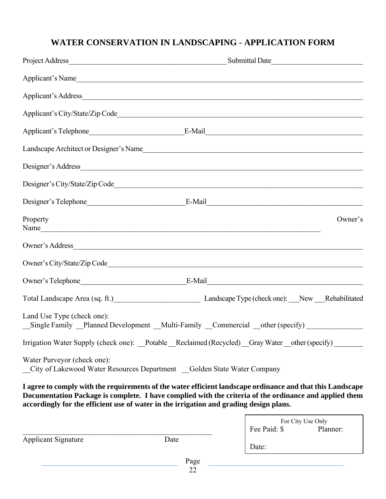# **WATER CONSERVATION IN LANDSCAPING - APPLICATION FORM**

| Applicant's Name                                                                       |                                                                        |                                                                                                                                                                                                                      |
|----------------------------------------------------------------------------------------|------------------------------------------------------------------------|----------------------------------------------------------------------------------------------------------------------------------------------------------------------------------------------------------------------|
|                                                                                        |                                                                        |                                                                                                                                                                                                                      |
|                                                                                        |                                                                        |                                                                                                                                                                                                                      |
|                                                                                        |                                                                        |                                                                                                                                                                                                                      |
|                                                                                        |                                                                        | Landscape Architect or Designer's Name                                                                                                                                                                               |
|                                                                                        |                                                                        | Designer's Address                                                                                                                                                                                                   |
|                                                                                        |                                                                        |                                                                                                                                                                                                                      |
|                                                                                        |                                                                        |                                                                                                                                                                                                                      |
| Property<br>Name                                                                       |                                                                        | Owner's                                                                                                                                                                                                              |
| Owner's Address                                                                        |                                                                        |                                                                                                                                                                                                                      |
|                                                                                        |                                                                        |                                                                                                                                                                                                                      |
|                                                                                        |                                                                        |                                                                                                                                                                                                                      |
|                                                                                        |                                                                        | Total Landscape Area (sq. ft.) Landscape Type (check one): New Rehabilitated                                                                                                                                         |
| Land Use Type (check one):                                                             |                                                                        | _Single Family _Planned Development _Multi-Family _Commercial _other (specify) _____________________                                                                                                                 |
|                                                                                        |                                                                        | Irrigation Water Supply (check one): Potable Reclaimed (Recycled) Gray Water other (specify)                                                                                                                         |
| Water Purveyor (check one):                                                            | City of Lakewood Water Resources Department Golden State Water Company |                                                                                                                                                                                                                      |
| accordingly for the efficient use of water in the irrigation and grading design plans. |                                                                        | I agree to comply with the requirements of the water efficient landscape ordinance and that this Landscape<br>Documentation Package is complete. I have complied with the criteria of the ordinance and applied them |
|                                                                                        |                                                                        | For City Use Only<br>Fee Paid: \$<br>Planner:                                                                                                                                                                        |
| <b>Applicant Signature</b>                                                             | Date                                                                   |                                                                                                                                                                                                                      |
|                                                                                        | Page                                                                   |                                                                                                                                                                                                                      |
|                                                                                        | 22                                                                     | Date:                                                                                                                                                                                                                |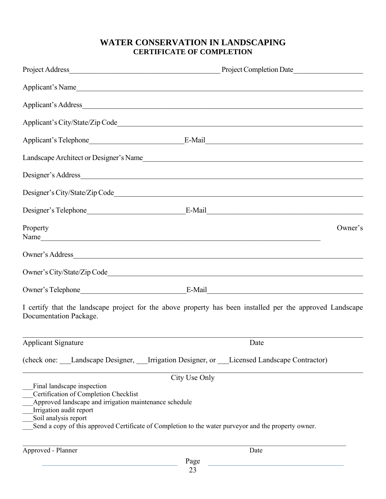### **WATER CONSERVATION IN LANDSCAPING CERTIFICATE OF COMPLETION**

|                                                                                                                                                                                  | Applicant's Name                                                                                          |  |
|----------------------------------------------------------------------------------------------------------------------------------------------------------------------------------|-----------------------------------------------------------------------------------------------------------|--|
|                                                                                                                                                                                  |                                                                                                           |  |
|                                                                                                                                                                                  |                                                                                                           |  |
|                                                                                                                                                                                  |                                                                                                           |  |
|                                                                                                                                                                                  | Landscape Architect or Designer's Name                                                                    |  |
|                                                                                                                                                                                  |                                                                                                           |  |
|                                                                                                                                                                                  |                                                                                                           |  |
|                                                                                                                                                                                  |                                                                                                           |  |
| Property<br>Name                                                                                                                                                                 | Owner's                                                                                                   |  |
|                                                                                                                                                                                  | Owner's Address                                                                                           |  |
|                                                                                                                                                                                  |                                                                                                           |  |
|                                                                                                                                                                                  |                                                                                                           |  |
| Documentation Package.                                                                                                                                                           | I certify that the landscape project for the above property has been installed per the approved Landscape |  |
| Applicant Signature                                                                                                                                                              | Date                                                                                                      |  |
|                                                                                                                                                                                  | (check one: Landscape Designer, Irrigation Designer, or Licensed Landscape Contractor)                    |  |
|                                                                                                                                                                                  | City Use Only                                                                                             |  |
| Final landscape inspection<br>Certification of Completion Checklist<br>Approved landscape and irrigation maintenance schedule<br>Irrigation audit report<br>Soil analysis report | Send a copy of this approved Certificate of Completion to the water purveyor and the property owner.      |  |
| Approved - Planner                                                                                                                                                               | Date                                                                                                      |  |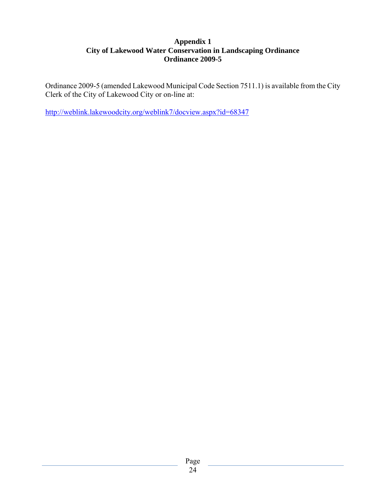#### **Appendix 1 City of Lakewood Water Conservation in Landscaping Ordinance Ordinance 2009-5**

Ordinance 2009-5 (amended Lakewood Municipal Code Section 7511.1) is available from the City Clerk of the City of Lakewood City or on-line at:

http://weblink.lakewoodcity.org/weblink7/docview.aspx?id=68347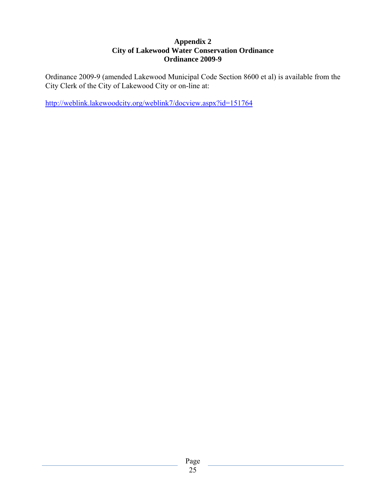#### **Appendix 2 City of Lakewood Water Conservation Ordinance Ordinance 2009-9**

Ordinance 2009-9 (amended Lakewood Municipal Code Section 8600 et al) is available from the City Clerk of the City of Lakewood City or on-line at:

http://weblink.lakewoodcity.org/weblink7/docview.aspx?id=151764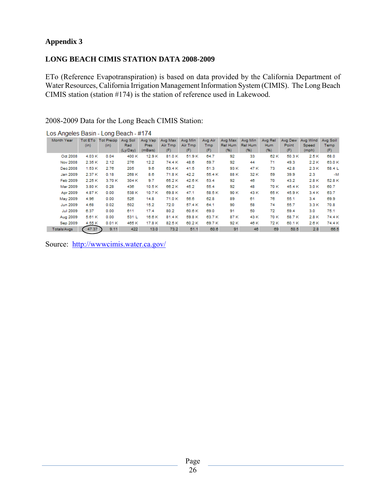#### **Appendix 3**

#### **LONG BEACH CIMIS STATION DATA 2008-2009**

ETo (Reference Evapotranspiration) is based on data provided by the California Department of Water Resources, California Irrigation Management Information System (CIMIS). The Long Beach CIMIS station (station #174) is the station of reference used in Lakewood.

2008-2009 Data for the Long Beach CIMIS Station:

| Month Year      | Tot ETo | <b>Tot Precip</b> | Avg Sol  | Avg Vap | Avg Max | Avg Min | Avg Air | Avg Max | Avg Min | Avg Rel | Avg Dew | Ava Wind | Avg Soil |
|-----------------|---------|-------------------|----------|---------|---------|---------|---------|---------|---------|---------|---------|----------|----------|
|                 | (in)    | (in)              | Rad      | Pres    | Air Tmp | Air Tmp | Tmp     | Rel Hum | Rel Hum | Hum     | Point   | Speed    | Temp     |
|                 |         |                   | (Ly/Day) | (mBars) | (F)     | (F)     | (F)     | (96)    | (96)    | (96)    | (F)     | (mph)    | (F)      |
| Oct 2008        | 4.03K   | 0.04              | 400 K    | 12.9 K  | 81.0 K  | 51.9K   | 64.7    | 92      | 33      | 62 K    | 50.3 K  | 2.5 K    | 68.0     |
| Nov 2008        | 2.35 K  | 2.12              | 276      | 12.2    | 74.4 K  | 48.6    | 59.7    | 92      | 44      | 71      | 49.3    | 2.2 K    | 63.0 K   |
| Dec 2008        | 1.53K   | 2.76              | 205      | 9.6     | 63.4 K  | 41.5    | 51.3    | 93 K    | 47 K    | 73      | 42.8    | 2.3 K    | 58.4 L   |
| Jan 2009        | 2.37 K  | 0.18              | 268 K    | 8.6     | 71.8 K  | 42.2    | 55.4 K  | 88 K    | 32 K    | 59      | 39.9    | 2.3      | $-M$     |
| Feb 2009        | 2.25K   | 3.70 K            | 304 K    | 9.7     | 65.2K   | 42.6 K  | 53.4    | 92      | 46      | 70      | 43.2    | 2.8 K    | 52.8 K   |
| Mar 2009        | 3.80K   | 0.28              | 436      | 10.5K   | 66.2K   | 45.2    | 55.4    | 92      | 48      | 70 K    | 45.4 K  | 3.0 K    | 60.7     |
| Apr 2009        | 4.87 K  | 0.00              | 538 K    | 10.7 K  | 69.8 K  | 47.1    | 58.5K   | 90 K    | 43 K    | 65 K    | 45.9 K  | 3.4 K    | 63.7     |
| May 2009        | 4.96    | 0.00              | 526      | 14.8    | 71.0 K  | 56.6    | 62.8    | 89      | 61      | 76      | 55.1    | 3.4      | 69.9     |
| Jun 2009        | 4.68    | 0.02              | 502      | 15.2    | 72.0    | 57.4 K  | 64.1    | 90      | 58      | 74      | 55.7    | 3.3 K    | 70.8     |
| <b>Jul 2009</b> | 6.37    | 0.00              | 611      | 17.4    | 80.2    | 60.6K   | 69.0    | 91      | 50      | 72      | 59.4    | 3.0      | 75.1     |
| Aug 2009        | 5.61 K  | 0.00              | 531 L    | 16.6 K  | 81.4K   | 59.8 K  | 63.7 K  | 87 K    | 43 K    | 70 K    | 58.7 K  | 2.8 K    | 74.4 K   |
| Sep 2009        | 4.55 K  | 0.01K             | 465 K    | 17.8 K  | 82.5K   | 60.2K   | 69.7 K  | 92 K    | 46 K    | 72 K    | 60.1 K  | 2.6 K    | 74.4 K   |
| Totals/Avgs     | 47.37   | 9.11              | 422      | 13.0    | 73.2    | 51.1    | 60.6    | 91      | 46      | 69      | 50.5    | 2.8      | 66.5     |

Los Angeles Basin - Long Beach - #174

Source: http://wwwcimis.water.ca.gov/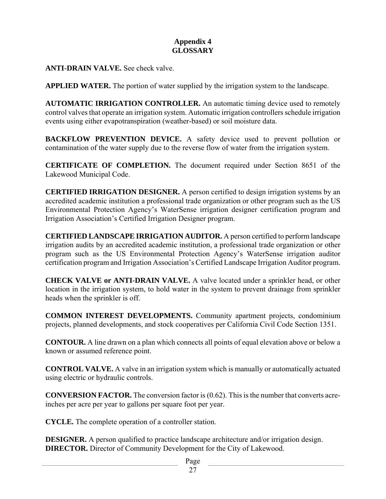### **Appendix 4 GLOSSARY**

**ANTI-DRAIN VALVE.** See check valve.

**APPLIED WATER.** The portion of water supplied by the irrigation system to the landscape.

**AUTOMATIC IRRIGATION CONTROLLER.** An automatic timing device used to remotely control valves that operate an irrigation system. Automatic irrigation controllers schedule irrigation events using either evapotranspiration (weather-based) or soil moisture data.

**BACKFLOW PREVENTION DEVICE.** A safety device used to prevent pollution or contamination of the water supply due to the reverse flow of water from the irrigation system.

**CERTIFICATE OF COMPLETION.** The document required under Section 8651 of the Lakewood Municipal Code.

**CERTIFIED IRRIGATION DESIGNER.** A person certified to design irrigation systems by an accredited academic institution a professional trade organization or other program such as the US Environmental Protection Agency's WaterSense irrigation designer certification program and Irrigation Association's Certified Irrigation Designer program.

**CERTIFIED LANDSCAPE IRRIGATION AUDITOR.** A person certified to perform landscape irrigation audits by an accredited academic institution, a professional trade organization or other program such as the US Environmental Protection Agency's WaterSense irrigation auditor certification program and Irrigation Association's Certified Landscape Irrigation Auditor program.

**CHECK VALVE or ANTI-DRAIN VALVE.** A valve located under a sprinkler head, or other location in the irrigation system, to hold water in the system to prevent drainage from sprinkler heads when the sprinkler is off.

**COMMON INTEREST DEVELOPMENTS.** Community apartment projects, condominium projects, planned developments, and stock cooperatives per California Civil Code Section 1351.

**CONTOUR.** A line drawn on a plan which connects all points of equal elevation above or below a known or assumed reference point.

**CONTROL VALVE.** A valve in an irrigation system which is manually or automatically actuated using electric or hydraulic controls.

**CONVERSION FACTOR.** The conversion factor is (0.62). This is the number that converts acreinches per acre per year to gallons per square foot per year.

**CYCLE.** The complete operation of a controller station.

**DESIGNER.** A person qualified to practice landscape architecture and/or irrigation design. **DIRECTOR.** Director of Community Development for the City of Lakewood.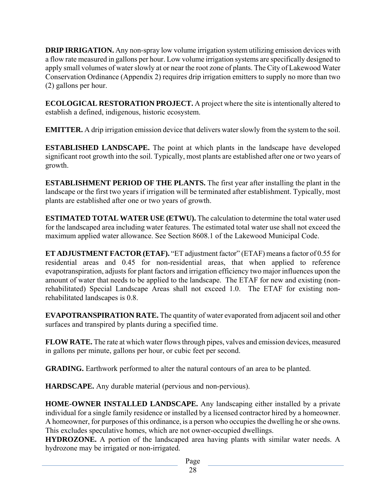**DRIP IRRIGATION.** Any non-spray low volume irrigation system utilizing emission devices with a flow rate measured in gallons per hour. Low volume irrigation systems are specifically designed to apply small volumes of water slowly at or near the root zone of plants. The City of Lakewood Water Conservation Ordinance (Appendix 2) requires drip irrigation emitters to supply no more than two (2) gallons per hour.

**ECOLOGICAL RESTORATION PROJECT.** A project where the site is intentionally altered to establish a defined, indigenous, historic ecosystem.

**EMITTER.** A drip irrigation emission device that delivers water slowly from the system to the soil.

**ESTABLISHED LANDSCAPE.** The point at which plants in the landscape have developed significant root growth into the soil. Typically, most plants are established after one or two years of growth.

**ESTABLISHMENT PERIOD OF THE PLANTS.** The first year after installing the plant in the landscape or the first two years if irrigation will be terminated after establishment. Typically, most plants are established after one or two years of growth.

**ESTIMATED TOTAL WATER USE (ETWU).** The calculation to determine the total water used for the landscaped area including water features. The estimated total water use shall not exceed the maximum applied water allowance. See Section 8608.1 of the Lakewood Municipal Code.

**ET ADJUSTMENT FACTOR (ETAF).** "ET adjustment factor" (ETAF) means a factor of 0.55 for residential areas and 0.45 for non-residential areas, that when applied to reference evapotranspiration, adjusts for plant factors and irrigation efficiency two major influences upon the amount of water that needs to be applied to the landscape. The ETAF for new and existing (nonrehabilitated) Special Landscape Areas shall not exceed 1.0. The ETAF for existing nonrehabilitated landscapes is 0.8.

**EVAPOTRANSPIRATION RATE.** The quantity of water evaporated from adjacent soil and other surfaces and transpired by plants during a specified time.

**FLOW RATE.** The rate at which water flows through pipes, valves and emission devices, measured in gallons per minute, gallons per hour, or cubic feet per second.

**GRADING.** Earthwork performed to alter the natural contours of an area to be planted.

**HARDSCAPE.** Any durable material (pervious and non-pervious).

**HOME-OWNER INSTALLED LANDSCAPE.** Any landscaping either installed by a private individual for a single family residence or installed by a licensed contractor hired by a homeowner. A homeowner, for purposes of this ordinance, is a person who occupies the dwelling he or she owns. This excludes speculative homes, which are not owner-occupied dwellings.

**HYDROZONE.** A portion of the landscaped area having plants with similar water needs. A hydrozone may be irrigated or non-irrigated.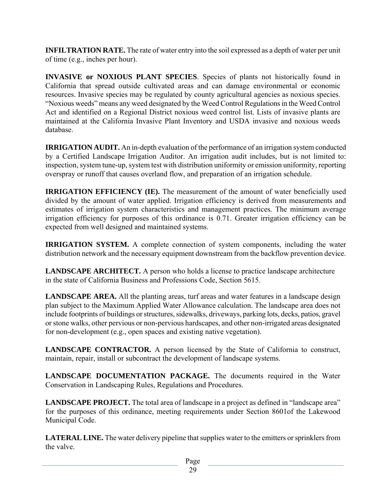**INFILTRATION RATE.** The rate of water entry into the soil expressed as a depth of water per unit of time (e.g., inches per hour).

**INVASIVE or NOXIOUS PLANT SPECIES**. Species of plants not historically found in California that spread outside cultivated areas and can damage environmental or economic resources. Invasive species may be regulated by county agricultural agencies as noxious species. "Noxious weeds" means any weed designated by the Weed Control Regulations in the Weed Control Act and identified on a Regional District noxious weed control list. Lists of invasive plants are maintained at the California Invasive Plant Inventory and USDA invasive and noxious weeds database.

**IRRIGATION AUDIT.** An in-depth evaluation of the performance of an irrigation system conducted by a Certified Landscape Irrigation Auditor. An irrigation audit includes, but is not limited to: inspection, system tune-up, system test with distribution uniformity or emission uniformity, reporting overspray or runoff that causes overland flow, and preparation of an irrigation schedule.

**IRRIGATION EFFICIENCY (IE).** The measurement of the amount of water beneficially used divided by the amount of water applied. Irrigation efficiency is derived from measurements and estimates of irrigation system characteristics and management practices. The minimum average irrigation efficiency for purposes of this ordinance is 0.71. Greater irrigation efficiency can be expected from well designed and maintained systems.

**IRRIGATION SYSTEM.** A complete connection of system components, including the water distribution network and the necessary equipment downstream from the backflow prevention device.

**LANDSCAPE ARCHITECT.** A person who holds a license to practice landscape architecture in the state of California Business and Professions Code, Section 5615.

**LANDSCAPE AREA.** All the planting areas, turf areas and water features in a landscape design plan subject to the Maximum Applied Water Allowance calculation. The landscape area does not include footprints of buildings or structures, sidewalks, driveways, parking lots, decks, patios, gravel or stone walks, other pervious or non-pervious hardscapes, and other non-irrigated areas designated for non-development (e.g., open spaces and existing native vegetation).

**LANDSCAPE CONTRACTOR.** A person licensed by the State of California to construct, maintain, repair, install or subcontract the development of landscape systems.

**LANDSCAPE DOCUMENTATION PACKAGE.** The documents required in the Water Conservation in Landscaping Rules, Regulations and Procedures.

**LANDSCAPE PROJECT.** The total area of landscape in a project as defined in "landscape area" for the purposes of this ordinance, meeting requirements under Section 8601of the Lakewood Municipal Code.

**LATERAL LINE.** The water delivery pipeline that supplies water to the emitters or sprinklers from the valve.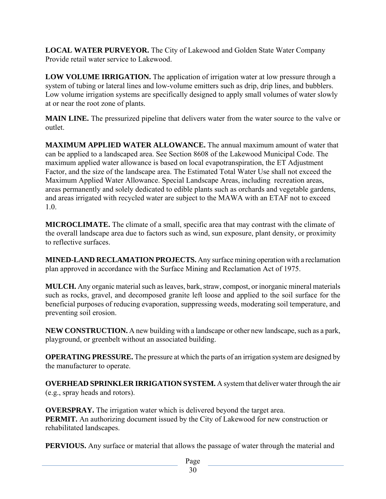**LOCAL WATER PURVEYOR.** The City of Lakewood and Golden State Water Company Provide retail water service to Lakewood.

**LOW VOLUME IRRIGATION.** The application of irrigation water at low pressure through a system of tubing or lateral lines and low-volume emitters such as drip, drip lines, and bubblers. Low volume irrigation systems are specifically designed to apply small volumes of water slowly at or near the root zone of plants.

**MAIN LINE.** The pressurized pipeline that delivers water from the water source to the valve or outlet.

**MAXIMUM APPLIED WATER ALLOWANCE.** The annual maximum amount of water that can be applied to a landscaped area. See Section 8608 of the Lakewood Municipal Code. The maximum applied water allowance is based on local evapotranspiration, the ET Adjustment Factor, and the size of the landscape area. The Estimated Total Water Use shall not exceed the Maximum Applied Water Allowance. Special Landscape Areas, including recreation areas, areas permanently and solely dedicated to edible plants such as orchards and vegetable gardens, and areas irrigated with recycled water are subject to the MAWA with an ETAF not to exceed 1.0.

**MICROCLIMATE.** The climate of a small, specific area that may contrast with the climate of the overall landscape area due to factors such as wind, sun exposure, plant density, or proximity to reflective surfaces.

**MINED-LAND RECLAMATION PROJECTS.** Any surface mining operation with a reclamation plan approved in accordance with the Surface Mining and Reclamation Act of 1975.

**MULCH.** Any organic material such as leaves, bark, straw, compost, or inorganic mineral materials such as rocks, gravel, and decomposed granite left loose and applied to the soil surface for the beneficial purposes of reducing evaporation, suppressing weeds, moderating soil temperature, and preventing soil erosion.

**NEW CONSTRUCTION.** A new building with a landscape or other new landscape, such as a park, playground, or greenbelt without an associated building.

**OPERATING PRESSURE.** The pressure at which the parts of an irrigation system are designed by the manufacturer to operate.

**OVERHEAD SPRINKLER IRRIGATION SYSTEM.** A system that deliver water through the air (e.g., spray heads and rotors).

**OVERSPRAY.** The irrigation water which is delivered beyond the target area. **PERMIT.** An authorizing document issued by the City of Lakewood for new construction or rehabilitated landscapes.

**PERVIOUS.** Any surface or material that allows the passage of water through the material and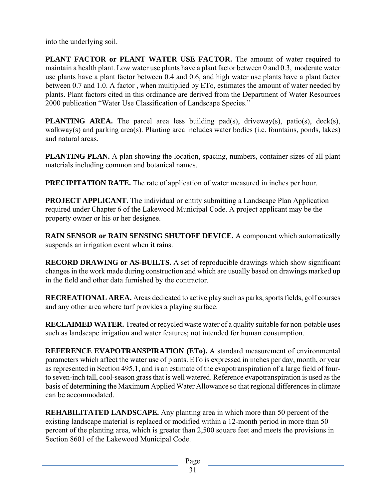into the underlying soil.

**PLANT FACTOR or PLANT WATER USE FACTOR.** The amount of water required to maintain a health plant. Low water use plants have a plant factor between 0 and 0.3, moderate water use plants have a plant factor between 0.4 and 0.6, and high water use plants have a plant factor between 0.7 and 1.0. A factor , when multiplied by ETo, estimates the amount of water needed by plants. Plant factors cited in this ordinance are derived from the Department of Water Resources 2000 publication "Water Use Classification of Landscape Species."

**PLANTING AREA.** The parcel area less building pad(s), driveway(s), patio(s), deck(s), walkway(s) and parking area(s). Planting area includes water bodies (i.e. fountains, ponds, lakes) and natural areas.

**PLANTING PLAN.** A plan showing the location, spacing, numbers, container sizes of all plant materials including common and botanical names.

**PRECIPITATION RATE.** The rate of application of water measured in inches per hour.

**PROJECT APPLICANT.** The individual or entity submitting a Landscape Plan Application required under Chapter 6 of the Lakewood Municipal Code. A project applicant may be the property owner or his or her designee.

**RAIN SENSOR or RAIN SENSING SHUTOFF DEVICE.** A component which automatically suspends an irrigation event when it rains.

**RECORD DRAWING or AS-BUILTS.** A set of reproducible drawings which show significant changes in the work made during construction and which are usually based on drawings marked up in the field and other data furnished by the contractor.

**RECREATIONAL AREA.** Areas dedicated to active play such as parks, sports fields, golf courses and any other area where turf provides a playing surface.

**RECLAIMED WATER.** Treated or recycled waste water of a quality suitable for non-potable uses such as landscape irrigation and water features; not intended for human consumption.

**REFERENCE EVAPOTRANSPIRATION (ETo).** A standard measurement of environmental parameters which affect the water use of plants. ETo is expressed in inches per day, month, or year as represented in Section 495.1, and is an estimate of the evapotranspiration of a large field of fourto seven-inch tall, cool-season grass that is well watered. Reference evapotranspiration is used as the basis of determining the Maximum Applied Water Allowance so that regional differences in climate can be accommodated.

**REHABILITATED LANDSCAPE.** Any planting area in which more than 50 percent of the existing landscape material is replaced or modified within a 12-month period in more than 50 percent of the planting area, which is greater than 2,500 square feet and meets the provisions in Section 8601 of the Lakewood Municipal Code.